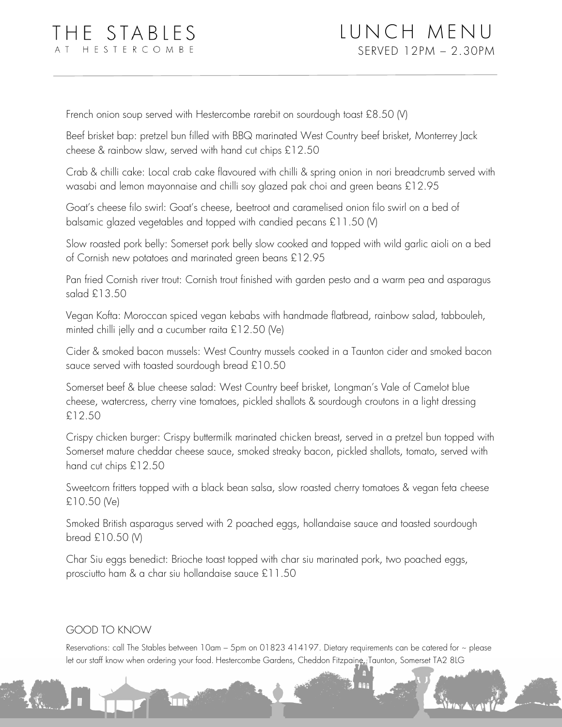French onion soup served with Hestercombe rarebit on sourdough toast £8.50 (V)

Beef brisket bap: pretzel bun filled with BBQ marinated West Country beef brisket, Monterrey Jack cheese & rainbow slaw, served with hand cut chips £12.50

Crab & chilli cake: Local crab cake flavoured with chilli & spring onion in nori breadcrumb served with wasabi and lemon mayonnaise and chilli soy glazed pak choi and green beans £12.95

Goat's cheese filo swirl: Goat's cheese, beetroot and caramelised onion filo swirl on a bed of balsamic glazed vegetables and topped with candied pecans £11.50 (V)

Slow roasted pork belly: Somerset pork belly slow cooked and topped with wild garlic aioli on a bed of Cornish new potatoes and marinated green beans £12.95

Pan fried Cornish river trout: Cornish trout finished with garden pesto and a warm pea and asparagus salad £13.50

Vegan Kofta: Moroccan spiced vegan kebabs with handmade flatbread, rainbow salad, tabbouleh, minted chilli jelly and a cucumber raita £12.50 (Ve)

Cider & smoked bacon mussels: West Country mussels cooked in a Taunton cider and smoked bacon sauce served with toasted sourdough bread £10.50

Somerset beef & blue cheese salad: West Country beef brisket, Longman's Vale of Camelot blue cheese, watercress, cherry vine tomatoes, pickled shallots & sourdough croutons in a light dressing £12.50

Crispy chicken burger: Crispy buttermilk marinated chicken breast, served in a pretzel bun topped with Somerset mature cheddar cheese sauce, smoked streaky bacon, pickled shallots, tomato, served with hand cut chips £12.50

Sweetcorn fritters topped with a black bean salsa, slow roasted cherry tomatoes & vegan feta cheese £10.50 (Ve)

Smoked British asparagus served with 2 poached eggs, hollandaise sauce and toasted sourdough bread £10.50 (V)

Char Siu eggs benedict: Brioche toast topped with char siu marinated pork, two poached eggs, prosciutto ham & a char siu hollandaise sauce £11.50

## GOOD TO KNOW

 $\Box$ 

Reservations: call The Stables between 10am – 5pm on 01823 414197. Dietary requirements can be catered for  $\sim$  please let our staff know when ordering your food. Hestercombe Gardens, Cheddon Fitzpaine, Taunton, Somerset TA2 8LG